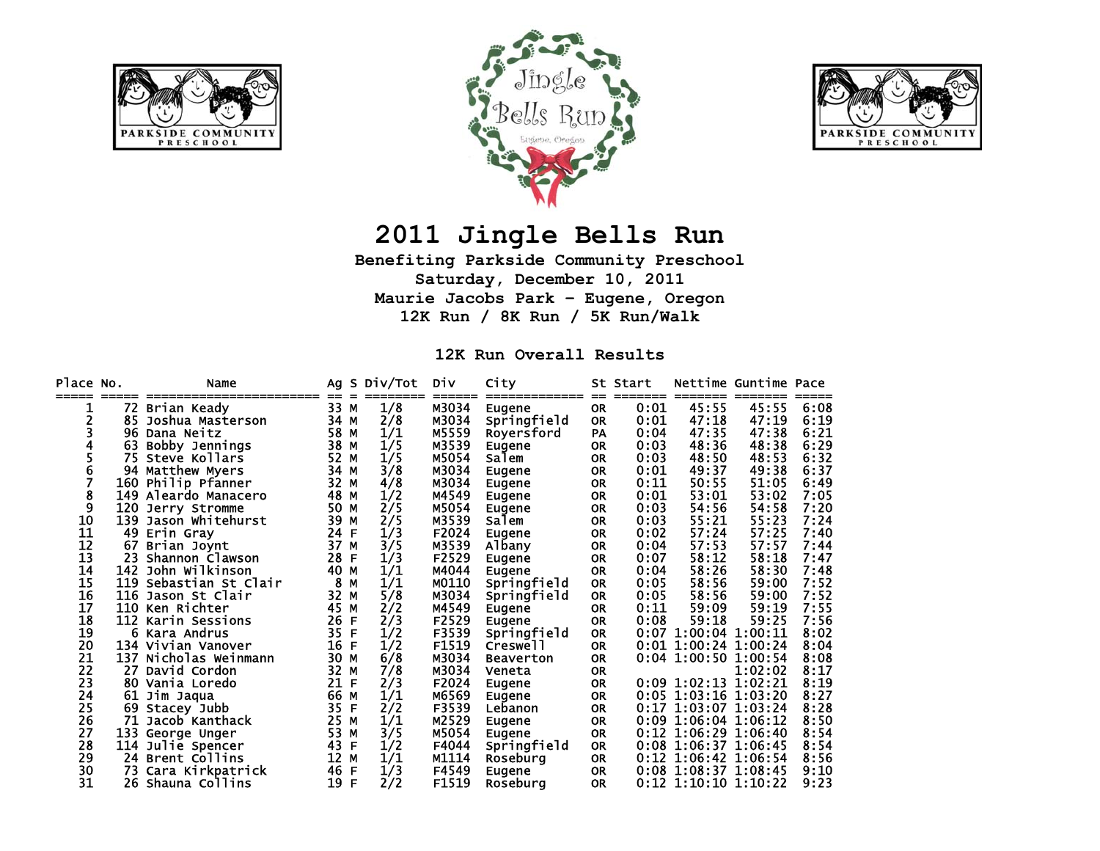





## **2011 Jingle Bells Run**

**Benefiting Parkside Community Preschool Saturday, December 10, 2011 Maurie Jacobs Park – Eugene, Oregon 12K Run / 8K Run / 5K Run/Walk** 

**12K Run Overall Results** 

| Place No. |     | Name                   | Ag | -S | Div/Tot | Div   | City             |                  | St Start |                        | Nettime Guntime Pace |      |
|-----------|-----|------------------------|----|----|---------|-------|------------------|------------------|----------|------------------------|----------------------|------|
|           | 72. | Brian Keady            | 33 | M  | 1/8     | M3034 | Eugene           | $=$<br><b>OR</b> | 0:01     | 45:55                  | 45:55                | 6:08 |
| 2         | 85  | Joshua Masterson       | 34 | M  | 2/8     | M3034 | Springfield      | <b>OR</b>        | 0:01     | 47:18                  | 47:19                | 6:19 |
|           |     | 96 Dana Neitz          | 58 | M  | 1/1     | M5559 | Royersford       | PA               | 0:04     | 47:35                  | 47:38                | 6:21 |
|           | 63  | Bobby Jennings         | 38 | M  | 1/5     | M3539 | Eugene           | <b>OR</b>        | 0:03     | 48:36                  | 48:38                | 6:29 |
|           | 75. | Steve Kollars          | 52 | M  | 1/5     | M5054 | Salem            | <b>OR</b>        | 0:03     | 48:50                  | 48:53                | 6:32 |
| 6         |     | 94 Matthew Myers       | 34 | M  | 3/8     | M3034 | Eugene           | <b>OR</b>        | 0:01     | 49:37                  | 49:38                | 6:37 |
| 7         |     | 160 Philip Pfanner     | 32 | M  | 4/8     | M3034 | <b>Eugene</b>    | <b>OR</b>        | 0:11     | 50:55                  | 51:05                | 6:49 |
| 8         |     | 149 Aleardo Manacero   | 48 | M  | 1/2     | M4549 | Eugene           | <b>OR</b>        | 0:01     | 53:01                  | 53:02                | 7:05 |
| 9         | 120 | Jerry Stromme          | 50 | M  | 2/5     | M5054 | Eugene           | <b>OR</b>        | 0:03     | 54:56                  | 54:58                | 7:20 |
| 10        |     | 139 Jason Whitehurst   | 39 | M  | 2/5     | M3539 | Salem            | <b>OR</b>        | 0:03     | 55:21                  | 55:23                | 7:24 |
| 11        |     | 49 Erin Gray           | 24 | F  | 1/3     | F2024 | Eugene           | <b>OR</b>        | 0:02     | 57:24                  | 57:25                | 7:40 |
| 12        | 67  | Brian Joynt            | 37 | M  | 3/5     | M3539 | Albany           | <b>OR</b>        | 0:04     | 57:53                  | 57:57                | 7:44 |
| 13        | 23. | Shannon Clawson        | 28 | F  | 1/3     | F2529 | Eugene           | <b>OR</b>        | 0:07     | 58:12                  | 58:18                | 7:47 |
| 14        |     | 142 John Wilkinson     | 40 | M  | 1/1     | M4044 | Eugene           | <b>OR</b>        | 0:04     | 58:26                  | 58:30                | 7:48 |
| 15        |     | 119 Sebastian St Clair | 8  | M  | 1/1     | M0110 | Springfield      | <b>OR</b>        | 0:05     | 58:56                  | 59:00                | 7:52 |
| 16        |     | 116 Jason St Clair     | 32 | M  | 5/8     | M3034 | Springfield      | <b>OR</b>        | 0:05     | 58:56                  | 59:00                | 7:52 |
| 17        |     | 110 Ken Richter        | 45 | M  | 2/2     | M4549 | Eugene           | <b>OR</b>        | 0:11     | 59:09                  | 59:19                | 7:55 |
| 18        |     | 112 Karin Sessions     | 26 | F  | 2/3     | F2529 | Eugene           | <b>OR</b>        | 0:08     | 59:18                  | 59:25                | 7:56 |
| 19        | 6   | Kara Andrus            | 35 | F  | 1/2     | F3539 | Springfield      | <b>OR</b>        | 0:07     | 1:00:04                | 1:00:11              | 8:02 |
| 20        |     | 134 Vivian Vanover     | 16 | F  | 1/2     | F1519 | Creswell         | <b>OR</b>        |          | $0:01$ 1:00:24 1:00:24 |                      | 8:04 |
| 21        | 137 | Nicholas Weinmann      | 30 | M  | 6/8     | M3034 | <b>Beaverton</b> | <b>OR</b>        |          | $0:04$ 1:00:50         | 1:00:54              | 8:08 |
| 22        | 27  | David Cordon           | 32 | M  | 7/8     | M3034 | Veneta           | <b>OR</b>        |          |                        | 1:02:02              | 8:17 |
| 23        |     | 80 Vania Loredo        | 21 | F  | 2/3     | F2024 | Eugene           | <b>OR</b>        |          | $0:09$ 1:02:13 1:02:21 |                      | 8:19 |
| 24        | 61  | Jim Jaqua              | 66 | M  | 1/1     | M6569 | Eugene           | <b>OR</b>        |          | 0:05 1:03:16 1:03:20   |                      | 8:27 |
| 25        | 69  | Stacey Jubb            | 35 | F  | 2/2     | F3539 | Lebanon          | <b>OR</b>        | 0:17     | 1:03:07 1:03:24        |                      | 8:28 |
| 26        | 71  | Jacob Kanthack         | 25 | M  | 1/1     | M2529 | Eugene           | <b>OR</b>        | 0:09     | 1:06:04 1:06:12        |                      | 8:50 |
| 27        |     | 133 George Unger       | 53 | M  | 3/5     | M5054 | Eugene           | <b>OR</b>        |          | $0:12$ 1:06:29 1:06:40 |                      | 8:54 |
| 28        |     | 114 Julie Spencer      | 43 | F  | 1/2     | F4044 | Springfield      | <b>OR</b>        | 0:08     | 1:06:37 1:06:45        |                      | 8:54 |
| 29        |     | 24 Brent Collins       | 12 | M  | 1/1     | M1114 | Roseburg         | <b>OR</b>        |          | 0:12 1:06:42 1:06:54   |                      | 8:56 |
| 30        | 73. | Cara Kirkpatrick       | 46 | F  | 1/3     | F4549 | Eugene           | <b>OR</b>        |          | $0:08$ 1:08:37 1:08:45 |                      | 9:10 |
| 31        |     | 26 Shauna Collins      | 19 | F  | 2/2     | F1519 | Roseburg         | <b>OR</b>        |          | $0:12$ 1:10:10 1:10:22 |                      | 9:23 |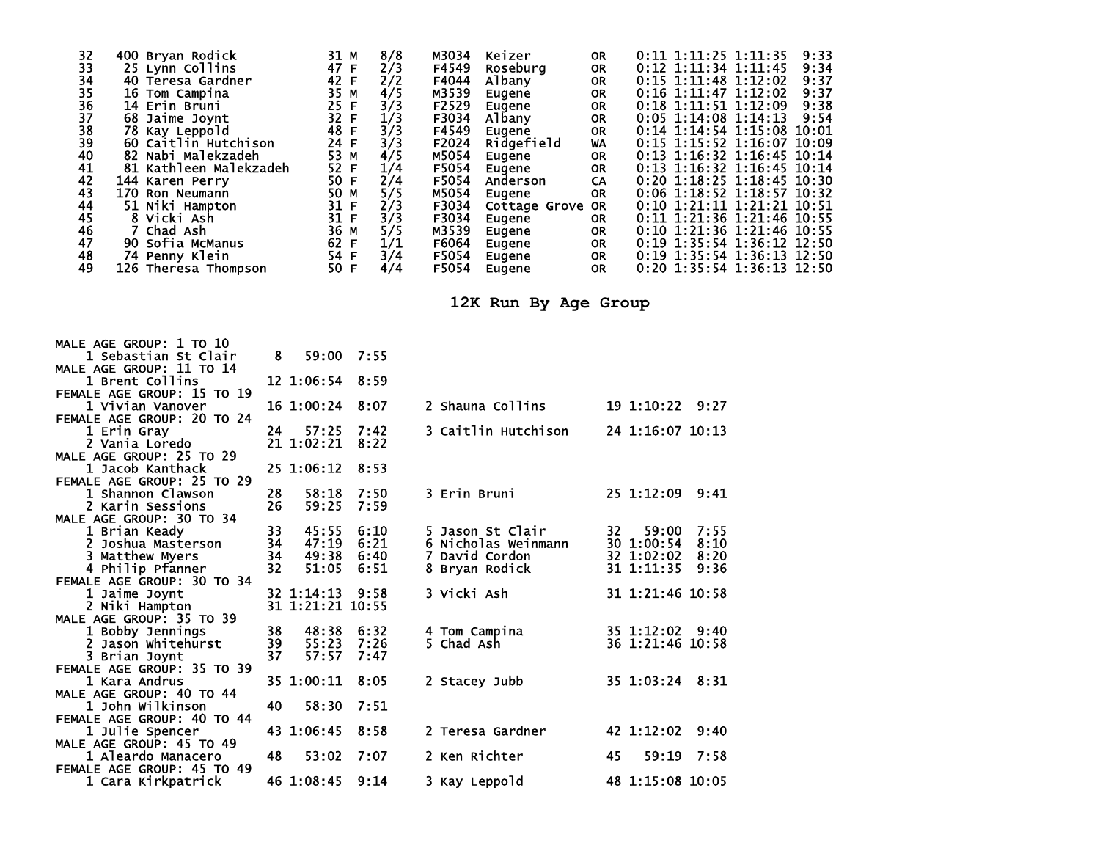| 32                               | 400 Bryan Rodick       | 31 M     | 8/8 | M3034 | Keizer           | <b>OR</b> | $0:11$ 1:11:25 1:11:35<br>9:33 |
|----------------------------------|------------------------|----------|-----|-------|------------------|-----------|--------------------------------|
| 33                               | 25 Lynn Collins        | 47<br>-F | 2/3 | F4549 | Roseburg         | <b>OR</b> | $0:12$ 1:11:34 1:11:45<br>9:34 |
| 34                               | 40 Teresa Gardner      | 42 F     | 2/2 | F4044 | Albany           | <b>OR</b> | $0:15$ 1:11:48 1:12:02<br>9:37 |
| 35                               | 16 Tom Campina         | 35 M     | 4/5 | M3539 | Eugene           | <b>OR</b> | $0:16$ 1:11:47 1:12:02<br>9:37 |
|                                  | 14 Erin Bruni          | 25<br>-F | 3/3 | F2529 | Eugene           | <b>OR</b> | $0:18$ 1:11:51 1:12:09<br>9:38 |
|                                  | 68 Jaime Joynt         | 32 F     | 1/3 | F3034 | Albany           | <b>OR</b> | $0:05$ 1:14:08 1:14:13<br>9:54 |
|                                  | 78 Kay Leppold         | 48 F     | 3/3 | F4549 | Eugene           | <b>OR</b> | $0:14$ 1:14:54 1:15:08 10:01   |
| 36<br>37<br>38<br>39<br>39<br>40 | 60 Caitlin Hutchison   | 24 F     | 3/3 | F2024 | Ridgefield       | WA        | $0:15$ 1:15:52 1:16:07 10:09   |
|                                  | 82 Nabi Malekzadeh     | 53 M     | 4/5 | M5054 | Eugene           | <b>OR</b> | $0:13$ 1:16:32 1:16:45 10:14   |
| 41                               | 81 Kathleen Malekzadeh | 52 F     | 1/4 | F5054 | Eugene           | <b>OR</b> | $0:13$ 1:16:32 1:16:45 10:14   |
| 42                               | 144 Karen Perry        | 50 F     | 2/4 | F5054 | Anderson         | CA        | $0:20$ 1:18:25 1:18:45 10:30   |
| 43                               | 170 Ron Neumann        | 50 M     | 5/5 | M5054 | Eugene           | <b>OR</b> | $0:06$ 1:18:52 1:18:57 10:32   |
| 44                               | 51 Niki Hampton        | 31 F     | 2/3 | F3034 | Cottage Grove OR |           | $0:10$ 1:21:11 1:21:21 10:51   |
| 45                               | 8 Vicki Ash            | 31 F     | 3/3 | F3034 | Eugene           | 0R        | $0:11$ 1:21:36 1:21:46 10:55   |
| 46                               | 7 Chad Ash             | 36 M     | 5/5 | M3539 | Eugene           | <b>OR</b> | $0:10$ 1:21:36 1:21:46 10:55   |
| 47                               | 90 Sofia McManus       | 62 F     | 1/1 | F6064 | Eugene           | <b>OR</b> | 0:19 1:35:54 1:36:12 12:50     |
| 48                               | 74 Penny Klein         | 54 F     | 3/4 | F5054 | Eugene           | <b>OR</b> | 0:19 1:35:54 1:36:13 12:50     |
| 49                               | 126 Theresa Thompson   | 50 F     | 4/4 | F5054 | Eugene           | <b>OR</b> | 0:20 1:35:54 1:36:13 12:50     |
|                                  |                        |          |     |       |                  |           |                                |

**12K Run By Age Group** 

| MALE AGE GROUP: 1 TO 10    |    |                  |            |                     |                     |
|----------------------------|----|------------------|------------|---------------------|---------------------|
| 1 Sebastian St Clair       | 8  |                  | 59:00 7:55 |                     |                     |
| MALE AGE GROUP: 11 TO 14   |    |                  |            |                     |                     |
| 1 Brent Collins            |    | 12 1:06:54 8:59  |            |                     |                     |
| FEMALE AGE GROUP: 15 TO 19 |    |                  |            |                     |                     |
| 1 Vivian Vanover           |    | 16 1:00:24 8:07  |            | 2 Shauna Collins    | 19 1:10:22 9:27     |
| FEMALE AGE GROUP: 20 TO 24 |    |                  |            |                     |                     |
| 1 Erin Gray                | 24 | 57:25            | 7:42       | 3 Caitlin Hutchison | 24 1:16:07 10:13    |
| 2 Vania Loredo             |    | 21 1:02:21       | 8:22       |                     |                     |
| MALE AGE GROUP: 25 TO 29   |    |                  |            |                     |                     |
| 1 Jacob Kanthack           |    | 25 1:06:12       | 8:53       |                     |                     |
| FEMALE AGE GROUP: 25 TO 29 |    |                  |            |                     |                     |
| 1 Shannon Clawson          | 28 | 58:18            | 7:50       | 3 Erin Bruni        | 25 1:12:09<br>9:41  |
| 2 Karin Sessions           | 26 | 59:25            | 7:59       |                     |                     |
| MALE AGE GROUP: 30 TO 34   |    |                  |            |                     |                     |
| 1 Brian Keady              | 33 | 45:55            | 6:10       | 5 Jason St Clair    | 32<br>7:55<br>59:00 |
| 2 Joshua Masterson         | 34 | 47:19            | 6:21       | 6 Nicholas Weinmann | 30 1:00:54<br>8:10  |
| 3 Matthew Myers            | 34 | 49:38            | 6:40       | 7 David Cordon      | 32 1:02:02<br>8:20  |
| 4 Philip Pfanner           | 32 | 51:05            | 6:51       | 8 Bryan Rodick      | 31 1:11:35<br>9:36  |
| FEMALE AGE GROUP: 30 TO 34 |    |                  |            |                     |                     |
| 1 Jaime Joynt              |    | 32 1:14:13       | 9:58       | 3 Vicki Ash         | 31 1:21:46 10:58    |
| 2 Niki Hampton             |    | 31 1:21:21 10:55 |            |                     |                     |
| MALE AGE GROUP: 35 TO 39   |    |                  |            |                     |                     |
| 1 Bobby Jennings           | 38 | 48:38            | 6:32       | 4 Tom Campina       | 35 1:12:02 9:40     |
| 2 Jason Whitehurst         | 39 | 55:23            | 7:26       | 5 Chad Ash          | 36 1:21:46 10:58    |
| 3 Brian Joynt              | 37 | 57:57            | 7:47       |                     |                     |
| FEMALE AGE GROUP: 35 TO 39 |    |                  |            |                     |                     |
| 1 Kara Andrus              |    | 35 1:00:11       | 8:05       | 2 Stacey Jubb       | 35 1:03:24 8:31     |
| MALE AGE GROUP: 40 TO 44   |    |                  |            |                     |                     |
| 1 John Wilkinson           | 40 | 58:30            | 7:51       |                     |                     |
| FEMALE AGE GROUP: 40 TO 44 |    |                  |            |                     |                     |
| 1 Julie Spencer            |    | 43 1:06:45       | 8:58       | 2 Teresa Gardner    | 42 1:12:02<br>9:40  |
| MALE AGE GROUP: 45 TO 49   |    |                  |            |                     |                     |
| 1 Aleardo Manacero         | 48 | 53:02            | 7:07       | 2 Ken Richter       | 45<br>59:19<br>7:58 |
| FEMALE AGE GROUP: 45 TO 49 |    |                  |            |                     |                     |
| 1 Cara Kirkpatrick         |    | 46 1:08:45       | 9:14       | 3 Kay Leppold       | 48 1:15:08 10:05    |
|                            |    |                  |            |                     |                     |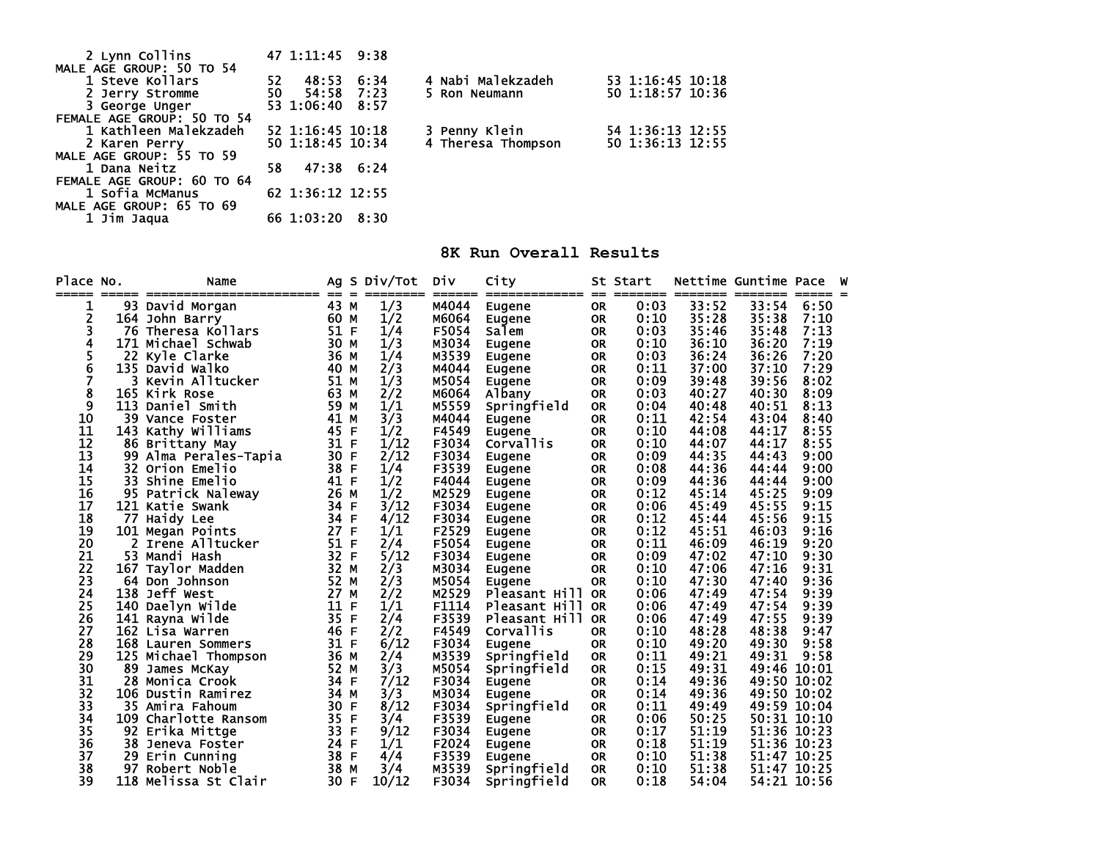| 2 Lynn Collins             | 47 1:11:45 9:38  |            |                    |                  |
|----------------------------|------------------|------------|--------------------|------------------|
| MALE AGE GROUP: 50 TO 54   |                  |            |                    |                  |
| 1 Steve Kollars            | 52.<br>48:53     | 6:34       | 4 Nabi Malekzadeh  | 53 1:16:45 10:18 |
| 2 Jerry Stromme            | 50               | 54:58 7:23 | 5 Ron Neumann      | 50 1:18:57 10:36 |
| 3 George Unger             | 53 1:06:40 8:57  |            |                    |                  |
| FEMALE AGE GROUP: 50 TO 54 |                  |            |                    |                  |
| 1 Kathleen Malekzadeh      | 52 1:16:45 10:18 |            | 3 Penny Klein      | 54 1:36:13 12:55 |
| 2 Karen Perry              | 50 1:18:45 10:34 |            | 4 Theresa Thompson | 50 1:36:13 12:55 |
| MALE AGE GROUP: 55 TO 59   |                  |            |                    |                  |
| 1 Dana Neitz               | 58.              | 47:38 6:24 |                    |                  |
| FEMALE AGE GROUP: 60 TO 64 |                  |            |                    |                  |
| 1 Sofia McManus            | 62 1:36:12 12:55 |            |                    |                  |
| MALE AGE GROUP: 65 TO 69   |                  |            |                    |                  |
| 1 Jim Jaqua                | 66 1:03:20       | 8:30       |                    |                  |

**8K Run Overall Results** 

| Place | NO. | Name                  | Ag         | <b>S</b> | Div/Tot         | Div             | City                    |                  | St Start     |                  | Nettime Guntime Pace |             |  |
|-------|-----|-----------------------|------------|----------|-----------------|-----------------|-------------------------|------------------|--------------|------------------|----------------------|-------------|--|
| ===== |     | 93 David Morgan       | ==<br>43 M | $=$      | ========<br>1/3 | ======<br>M4044 | =============<br>Eugene | $=$<br><b>OR</b> | ====<br>0:03 | =======<br>33:52 | =======<br>33:54     | 6:50        |  |
| 2     |     | 164 John Barry        | 60 M       |          | 1/2             | M6064           | Eugene                  | <b>OR</b>        | 0:10         | 35:28            | 35:38                | 7:10        |  |
|       |     | 76 Theresa Kollars    | 51 F       |          | 1/4             | F5054           | salem                   | <b>OR</b>        | 0:03         | 35:46            | 35:48                | 7:13        |  |
| 4     | 171 | Michael Schwab        | 30 M       |          | 1/3             | M3034           | Eugene                  | <b>OR</b>        | 0:10         | 36:10            | 36:20                | 7:19        |  |
| 5     | 22  | Kyle Clarke           | 36 M       |          | 1/4             | M3539           | Eugene                  | <b>OR</b>        | 0:03         | 36:24            | 36:26                | 7:20        |  |
| 6     |     | 135 David Walko       | 40 M       |          | 2/3             | M4044           | Eugene                  | <b>OR</b>        | 0:11         | 37:00            | 37:10                | 7:29        |  |
| 7     | 3   | Kevin Alltucker       | 51 M       |          | 1/3             | M5054           | Eugene                  | <b>OR</b>        | 0:09         | 39:48            | 39:56                | 8:02        |  |
| 8     |     | <b>165 Kirk Rose</b>  | 63 M       |          | 2/2             | M6064           | Albany                  | <b>OR</b>        | 0:03         | 40:27            | 40:30                | 8:09        |  |
| 9     |     | 113 Daniel Smith      | 59 M       |          | 1/1             | M5559           | Springfield             | <b>OR</b>        | 0:04         | 40:48            | 40:51                | 8:13        |  |
| 10    |     | 39 Vance Foster       | 41         | М        | 3/3             | M4044           | Eugene                  | <b>OR</b>        | 0:11         | 42:54            | 43:04                | 8:40        |  |
| 11    |     | 143 Kathy Williams    | 45         | F        | 1/2             | F4549           | Eugene                  | <b>OR</b>        | 0:10         | 44:08            | 44:17                | 8:55        |  |
| 12    |     | 86 Brittany May       | 31         | F        | 1/12            | F3034           | Corvallis               | <b>OR</b>        | 0:10         | 44:07            | 44:17                | 8:55        |  |
| 13    |     | 99 Alma Perales-Tapia | 30 F       |          | 2/12            | F3034           | Eugene                  | <b>OR</b>        | 0:09         | 44:35            | 44:43                | 9:00        |  |
| 14    | 32  | Orion Emelio          | 38 F       |          | 1/4             | F3539           | Eugene                  | <b>OR</b>        | 0:08         | 44:36            | 44:44                | 9:00        |  |
| 15    | 33. | Shine Emelio          | 41         | F        | 1/2             | F4044           | Eugene                  | <b>OR</b>        | 0:09         | 44:36            | 44:44                | 9:00        |  |
| 16    |     | 95 Patrick Naleway    | 26 M       |          | 1/2             | M2529           | Eugene                  | <b>OR</b>        | 0:12         | 45:14            | 45:25                | 9:09        |  |
| 17    |     | 121 Katie Swank       | 34         | F        | 3/12            | F3034           | Eugene                  | <b>OR</b>        | 0:06         | 45:49            | 45:55                | 9:15        |  |
| 18    | 77  | Haidy Lee             | 34         | E        | 4/12            | F3034           | Eugene                  | <b>OR</b>        | 0:12         | 45:44            | 45:56                | 9:15        |  |
| 19    |     | 101 Megan Points      | 27         | F        | 1/1             | F2529           | Eugene                  | <b>OR</b>        | 0:12         | 45:51            | 46:03                | 9:16        |  |
| 20    |     | 2 Irene Alltucker     | 51         | F        | 2/4             | F5054           | Eugene                  | <b>OR</b>        | 0:11         | 46:09            | 46:19                | 9:20        |  |
| 21    |     | 53 Mandi Hash         | 32         | F        | 5/12            | F3034           | Eugene                  | <b>OR</b>        | 0:09         | 47:02            | 47:10                | 9:30        |  |
| 22    |     | 167 Taylor Madden     | 32 M       |          | 2/3             | M3034           | Eugene                  | <b>OR</b>        | 0:10         | 47:06            | 47:16                | 9:31        |  |
| 23    |     | 64 Don Johnson        | 52 M       |          | 2/3             | M5054           | Eugene                  | <b>OR</b>        | 0:10         | 47:30            | 47:40                | 9:36        |  |
| 24    |     | 138 Jeff West         | 27         | M        | 2/2             | M2529           | Pleasant Hill OR        |                  | 0:06         | 47:49            | 47:54                | 9:39        |  |
| 25    |     | 140 Daelyn Wilde      | 11         | E        | 1/1             | F1114           | Pleasant Hill           | <b>OR</b>        | 0:06         | 47:49            | 47:54                | 9:39        |  |
| 26    |     | 141 Rayna Wilde       | 35         | F        | 2/4             | F3539           | Pleasant Hill           | <b>OR</b>        | 0:06         | 47:49            | 47:55                | 9:39        |  |
| 27    |     | 162 Lisa Warren       | 46         | F        | 2/2             | F4549           | <b>Corvallis</b>        | <b>OR</b>        | 0:10         | 48:28            | 48:38                | 9:47        |  |
| 28    |     | 168 Lauren Sommers    | 31         | F        | 6/12            | F3034           | Eugene                  | <b>OR</b>        | 0:10         | 49:20            | 49:30                | 9:58        |  |
| 29    |     | 125 Michael Thompson  | 36 M       |          | 2/4             | M3539           | Springfield             | <b>OR</b>        | 0:11         | 49:21            | 49:31                | 9:58        |  |
| 30    |     | 89 James McKay        | 52 M       |          | 3/3             | M5054           | Springfield             | <b>OR</b>        | 0:15         | 49:31            |                      | 49:46 10:01 |  |
| 31    |     | 28 Monica Crook       | 34 F       |          | 7/12            | F3034           | Eugene                  | <b>OR</b>        | 0:14         | 49:36            |                      | 49:50 10:02 |  |
| 32    |     | 106 Dustin Ramirez    | 34 M       |          | 3/3             | M3034           | Eugene                  | <b>OR</b>        | 0:14         | 49:36            |                      | 49:50 10:02 |  |
| 33    |     | 35 Amira Fahoum       | 30         | F        | 8/12            | F3034           | Springfield             | <b>OR</b>        | 0:11         | 49:49            |                      | 49:59 10:04 |  |
| 34    |     | 109 Charlotte Ransom  | 35 F       |          | 3/4             | F3539           | Eugene                  | <b>OR</b>        | 0:06         | 50:25            |                      | 50:31 10:10 |  |
| 35    |     | 92 Erika Mittge       | 33 F       |          | 9/12            | F3034           | Eugene                  | <b>OR</b>        | 0:17         | 51:19            |                      | 51:36 10:23 |  |
| 36    | 38  | Jeneva Foster         | 24 F       |          | 1/1             | F2024           | Eugene                  | <b>OR</b>        | 0:18         | 51:19            |                      | 51:36 10:23 |  |
| 37    |     | 29 Erin Cunning       | 38 F       |          | 4/4             | F3539           | Eugene                  | <b>OR</b>        | 0:10         | 51:38            |                      | 51:47 10:25 |  |
| 38    | 97  | Robert Noble          | 38         | M        | 3/4             | M3539           | Springfield             | <b>OR</b>        | 0:10         | 51:38            |                      | 51:47 10:25 |  |
| 39    |     | 118 Melissa St Clair  | 30         | F        | 10/12           | F3034           | Springfield             | <b>OR</b>        | 0:18         | 54:04            |                      | 54:21 10:56 |  |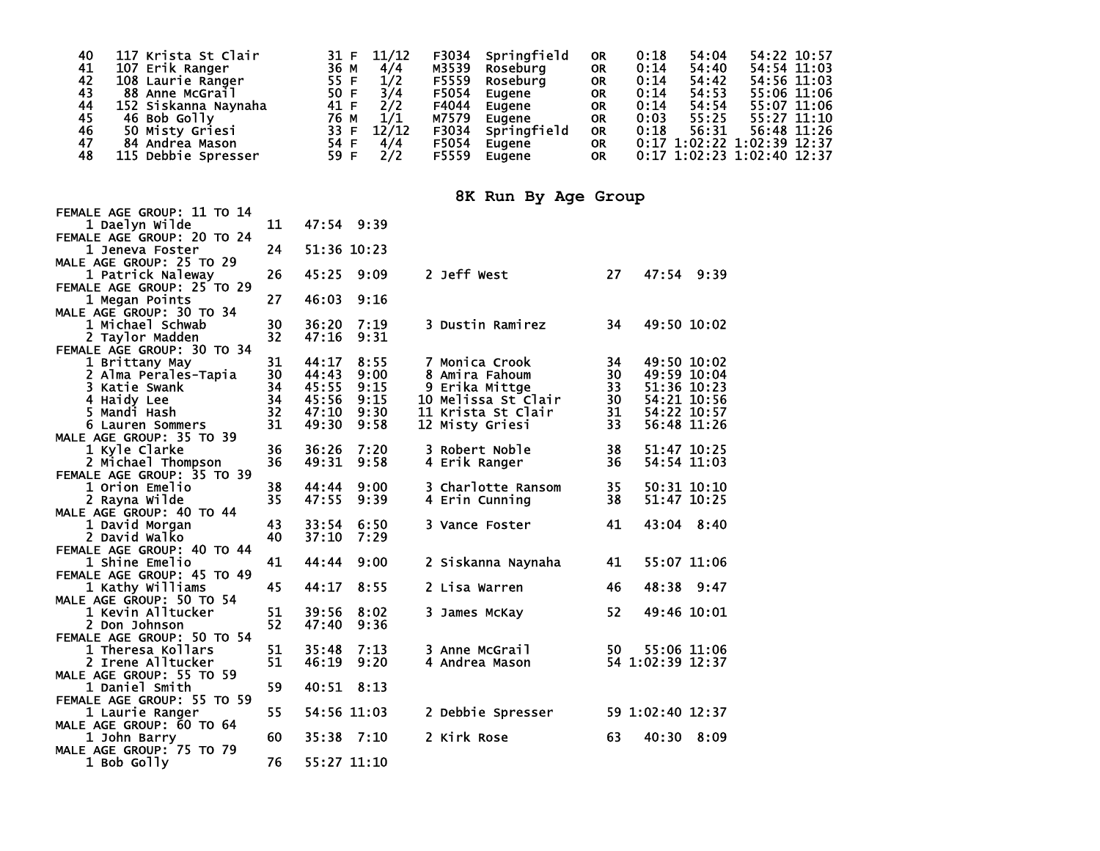| 40 | 117 Krista St Clair  | 11/12<br>31 F | F3034 | Springfield | <b>OR</b> | 0:18 | 54:04 | 54:22 10:57                  |
|----|----------------------|---------------|-------|-------------|-----------|------|-------|------------------------------|
| 41 | 107 Erik Ranger      | 36 M<br>4/4   | M3539 | Roseburg    | <b>OR</b> | 0:14 | 54:40 | 54:54 11:03                  |
| 42 | 108 Laurie Ranger    | 55 F<br>1/2   | F5559 | Roseburg    | <b>OR</b> | 0:14 | 54:42 | 54:56 11:03                  |
| 43 | 88 Anne McGrail      | 50 F<br>3/4   | F5054 | Eugene      | <b>OR</b> | 0:14 | 54:53 | 55:06 11:06                  |
| 44 | 152 Siskanna Naynaha | 2/2<br>41 F   | F4044 | Eugene      | <b>OR</b> | 0:14 | 54:54 | 55:07 11:06                  |
| 45 | 46 Bob Golly         | 76 M<br>1/1   | M7579 | Eugene      | <b>OR</b> | 0:03 | 55:25 | 55:27 11:10                  |
| 46 | 50 Misty Griesi      | 33 F<br>12/12 | F3034 | Springfield | <b>OR</b> | 0:18 | 56:31 | 56:48 11:26                  |
| 47 | 84 Andrea Mason      | 54 F<br>4/4   | F5054 | Eugene      | <b>OR</b> |      |       | $0:17$ 1:02:22 1:02:39 12:37 |
| 48 | 115 Debbie Spresser  | 59 F<br>2/2   | F5559 | Eugene      | <b>OR</b> |      |       | 0:17 1:02:23 1:02:40 12:37   |

## **8K Run By Age Group**

| FEMALE AGE GROUP: 11 TO 14<br>1 Daelyn Wilde | 11 | 47:54 9:39 |             |                     |    |                  |
|----------------------------------------------|----|------------|-------------|---------------------|----|------------------|
| FEMALE AGE GROUP: 20 TO 24                   |    |            |             |                     |    |                  |
| 1 Jeneva Foster                              | 24 |            | 51:36 10:23 |                     |    |                  |
| MALE AGE GROUP: 25 TO 29                     |    |            |             |                     |    |                  |
| 1 Patrick Naleway                            | 26 | 45:25      | 9:09        | 2 Jeff West         | 27 | 47:54 9:39       |
| FEMALE AGE GROUP: 25 TO 29                   |    |            |             |                     |    |                  |
| 1 Megan Points                               | 27 | 46:03      | 9:16        |                     |    |                  |
| MALE AGE GROUP: 30 TO 34                     |    |            |             |                     |    |                  |
| 1 Michael Schwab                             | 30 | 36:20      | 7:19        | 3 Dustin Ramirez    | 34 | 49:50 10:02      |
| 2 Taylor Madden                              | 32 | 47:16      | 9:31        |                     |    |                  |
| FEMALE AGE GROUP: 30 TO 34                   |    |            |             |                     |    |                  |
| 1 Brittany May                               | 31 | 44:17      | 8:55        | 7 Monica Crook      | 34 | 49:50 10:02      |
| 2 Alma Perales-Tapia                         | 30 | 44:43      | 9:00        | 8 Amira Fahoum      | 30 | 49:59 10:04      |
| 3 Katie Swank                                | 34 | 45:55      | 9:15        | 9 Erika Mittge      | 33 | 51:36 10:23      |
| 4 Haidy Lee                                  | 34 | 45:56      | 9:15        | 10 Melissa St Clair | 30 | 54:21 10:56      |
| 5 Mandi Hash                                 | 32 | 47:10      | 9:30        | 11 Krista St Clair  | 31 | 54:22 10:57      |
| 6 Lauren Sommers                             | 31 | 49:30      | 9:58        | 12 Misty Griesi     | 33 | 56:48 11:26      |
| MALE AGE GROUP: 35 TO 39                     |    |            |             |                     |    |                  |
| 1 Kyle Clarke                                | 36 | 36:26      | 7:20        | 3 Robert Noble      | 38 | 51:47 10:25      |
| 2 Michael Thompson                           | 36 | 49:31      | 9:58        | 4 Erik Ranger       | 36 | 54:54 11:03      |
| FEMALE AGE GROUP: 35 TO 39                   |    |            |             |                     |    |                  |
| 1 Orion Emelio                               | 38 | 44:44      | 9:00        | 3 Charlotte Ransom  | 35 | 50:31 10:10      |
| 2 Rayna Wilde                                | 35 | 47:55      | 9:39        | 4 Erin Cunning      | 38 | 51:47 10:25      |
| MALE AGE GROUP: 40 TO 44                     |    |            |             |                     |    |                  |
| 1 David Morgan                               | 43 | 33:54      | 6:50        | 3 Vance Foster      | 41 | 43:04 8:40       |
| 2 David Walko                                | 40 | 37:10      | 7:29        |                     |    |                  |
| FEMALE AGE GROUP: 40 TO 44                   |    |            |             |                     |    |                  |
| <b>1 Shine Emelio</b>                        | 41 | 44:44      | 9:00        | 2 Siskanna Naynaha  | 41 | 55:07 11:06      |
| FEMALE AGE GROUP: 45 TO 49                   |    |            |             |                     |    |                  |
| 1 Kathy Williams                             | 45 | 44:17      | 8:55        | 2 Lisa Warren       | 46 | 48:38<br>9:47    |
| MALE AGE GROUP: 50 TO 54                     |    |            |             |                     |    |                  |
| 1 Kevin Alltucker                            | 51 | 39:56      | 8:02        | 3 James McKay       | 52 | 49:46 10:01      |
| 2 Don Johnson                                | 52 | 47:40      | 9:36        |                     |    |                  |
| FEMALE AGE GROUP: 50 TO 54                   |    |            |             |                     |    |                  |
| 1 Theresa Kollars                            | 51 | 35:48      | 7:13        | 3 Anne McGrail      | 50 | 55:06 11:06      |
| 2 Irene Alltucker                            | 51 | 46:19      | 9:20        | 4 Andrea Mason      |    | 54 1:02:39 12:37 |
| MALE AGE GROUP: 55 TO 59                     |    |            |             |                     |    |                  |
| 1 Daniel Smith                               | 59 | 40:51      | 8:13        |                     |    |                  |
| FEMALE AGE GROUP: 55 TO 59                   |    |            |             |                     |    |                  |
| 1 Laurie Ranger                              | 55 |            | 54:56 11:03 | 2 Debbie Spresser   |    | 59 1:02:40 12:37 |
| MALE AGE GROUP: 60 TO 64                     |    |            |             |                     |    |                  |
| 1 John Barry                                 | 60 | 35:38      | 7:10        | 2 Kirk Rose         | 63 | 40:30<br>8:09    |
| MALE AGE GROUP: 75 TO 79                     |    |            |             |                     |    |                  |
| 1 Bob Golly                                  | 76 |            | 55:27 11:10 |                     |    |                  |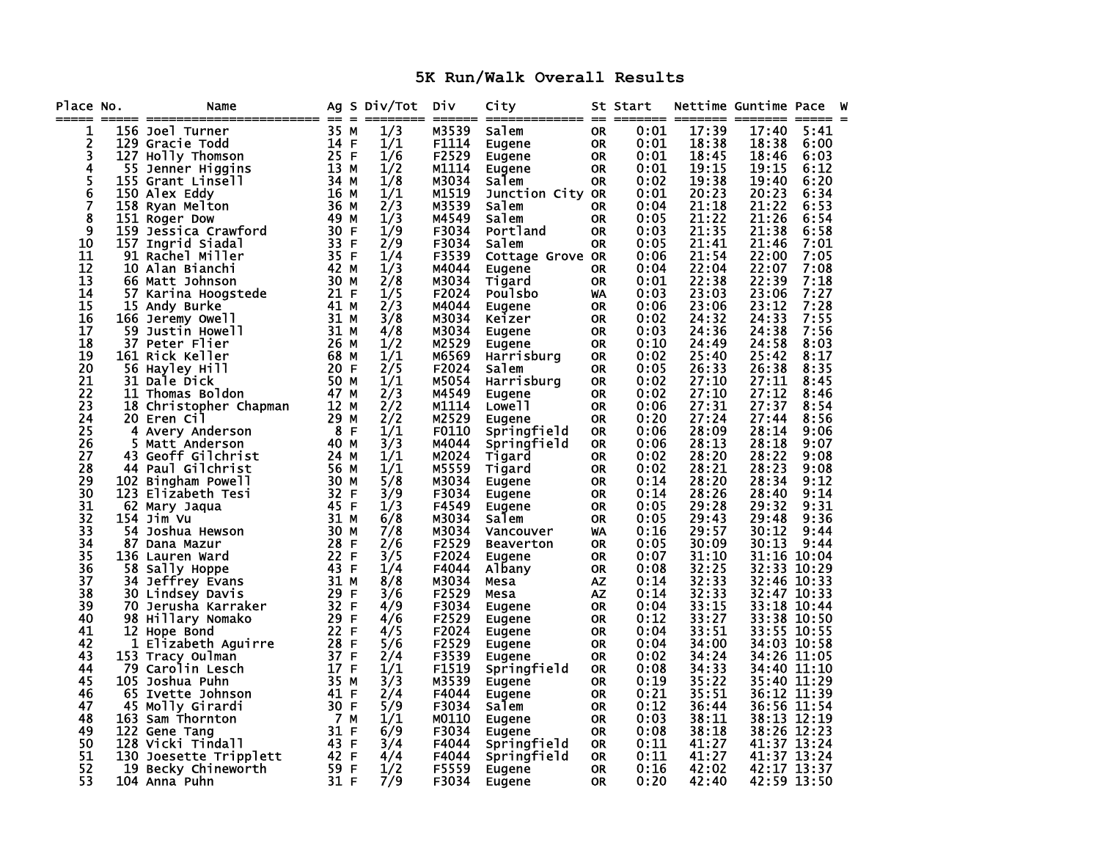## **5K Run/Walk Overall Results**

| Place No.<br>===== |     | Name                        |              | Ag S Div/Tot | Div<br>======  | City                   |                        | St Start     | ======= ======= ======= ===== = | Nettime Guntime Pace |              | W |
|--------------------|-----|-----------------------------|--------------|--------------|----------------|------------------------|------------------------|--------------|---------------------------------|----------------------|--------------|---|
| 1                  |     | 156 Joel Turner             | 35 M         | 1/3          | M3539          | Salem                  | <b>OR</b>              | 0:01         | 17:39                           | 17:40                | 5:41         |   |
| 2                  |     | 129 Gracie Todd             | 14 F         | 1/1          | F1114          | Eugene                 | <b>OR</b>              | 0:01         | 18:38                           | 18:38                | 6:00         |   |
| 3                  |     | 127 Holly Thomson           | 25 F         | 1/6          | F2529          | Eugene                 | <b>OR</b>              | 0:01         | 18:45                           | 18:46                | 6:03         |   |
| 4                  | 55  | Jenner Higgins              | 13 M         | 1/2          | M1114          | Eugene                 | <b>OR</b>              | 0:01         | 19:15                           | 19:15                | 6:12         |   |
|                    |     | 155 Grant Linsell           | 34 M         | 1/8          | M3034          | Salem                  | <b>OR</b>              | 0:02         | 19:38                           | 19:40                | 6:20         |   |
| 5<br>6<br>7        |     | 150 Alex Eddy               | 16 M         | 1/1          | M1519          | Junction City OR       |                        | 0:01         | 20:23                           | 20:23                | 6:34         |   |
|                    |     | 158 Ryan Melton             | 36 M         | 2/3          | M3539          | Salem                  | <b>OR</b>              | 0:04         | 21:18                           | 21:22                | 6:53         |   |
| 8                  |     | 151 Roger Dow               | 49 M         | 1/3          | M4549          | <b>Salem</b>           | <b>OR</b>              | 0:05         | 21:22                           | 21:26                | 6:54         |   |
| $\overline{9}$     |     | 159 Jessica Crawford        | 30 F         | 1/9          | F3034          | Portland               | <b>OR</b>              | 0:03         | 21:35                           | 21:38                | 6:58         |   |
| 10                 |     | 157 Ingrid Siadal           | 33 F         | 2/9          | F3034          | Salem                  | <b>OR</b>              | 0:05         | 21:41                           | 21:46                | 7:01         |   |
| 11                 |     | 91 Rachel Miller            | 35 F         | 1/4          | F3539          | Cottage Grove OR       |                        | 0:06         | 21:54                           | 22:00                | 7:05         |   |
| 12                 |     | 10 Alan Bianchi             | 42 M         | 1/3          | M4044          | Eugene                 | <b>OR</b>              | 0:04         | 22:04                           | 22:07                | 7:08         |   |
| 13                 |     | 66 Matt Johnson             | 30 M         | 2/8          | м3034          | Tigard                 | <b>OR</b>              | 0:01         | 22:38                           | 22:39                | 7:18         |   |
| 14                 |     | 57 Karina Hoogstede         | 21 F         | 1/5          | F2024          | <b>Poulsbo</b>         | WA                     | 0:03         | 23:03                           | 23:06                | 7:27         |   |
| 15                 |     | 15 Andy Burke               | 41 M         | 2/3          | M4044          | Eugene                 | <b>OR</b>              | 0:06         | 23:06                           | 23:12                | 7:28         |   |
| 16                 |     | 166 Jeremy Owell            | 31 M         | 3/8          | M3034          | Keizer                 | <b>OR</b>              | 0:02         | 24:32                           | 24:33                | 7:55         |   |
| 17                 | 59. | Justin Howell               | 31 M         | 4/8          | M3034          | Eugene                 | <b>OR</b>              | 0:03         | 24:36                           | 24:38                | 7:56         |   |
| 18                 |     | 37 Peter Flier              | 26 M         | 1/2          | M2529          | Eugene                 | <b>OR</b>              | 0:10         | 24:49                           | 24:58                | 8:03         |   |
| 19                 |     | 161 Rick Keller             | 68 M         | 1/1          | M6569          | Harrisburg             | <b>OR</b>              | 0:02         | 25:40                           | 25:42                | 8:17         |   |
| 20                 |     | 56 Hayley Hill              | 20 F         | 2/5          | F2024          | Salem                  | <b>OR</b>              | 0:05         | 26:33                           | 26:38                | 8:35         |   |
| 21                 | 31  | Dale Dick                   | 50 M         | 1/1          | M5054          | Harrisburg             | <b>OR</b>              | 0:02         | 27:10                           | 27:11                | 8:45         |   |
| 22                 | 11  | Thomas Boldon               | 47 M         | 2/3          | M4549          | Eugene                 | <b>OR</b>              | 0:02         | 27:10                           | 27:12                | 8:46         |   |
| 23                 |     | 18 Christopher Chapman      | 12 M         | 2/2          | M1114          | Lowe <sup>11</sup>     | <b>OR</b>              | 0:06         | 27:31                           | 27:37                | 8:54         |   |
| 24                 |     | 20 Eren Cil                 | 29 M         | 2/2          | M2529          | Eugene                 | <b>OR</b>              | 0:20         | 27:24                           | 27:44                | 8:56         |   |
| 25                 | 4   | Avery Anderson              | 8 F          | 1/1          | F0110          | Springfield            | <b>OR</b>              | 0:06         | 28:09                           | 28:14                | 9:06         |   |
| 26                 | 5   | Matt Anderson               | 40 M         | 3/3          | M4044          | Springfield            | <b>OR</b>              | 0:06         | 28:13                           | 28:18                | 9:07         |   |
| 27                 | 43  | Geoff Gilchrist             | 24 M         | 1/1          | M2024          | Tigard                 | <b>OR</b>              | 0:02         | 28:20                           | 28:22                | 9:08         |   |
| 28<br>29           | 44  | Paul Gilchrist              | 56 M         | 1/1          | M5559          | Tigard                 | <b>OR</b>              | 0:02         | 28:21                           | 28:23<br>28:34       | 9:08         |   |
| 30                 |     | 102 Bingham Powell          | 30 M<br>32 F | 5/8          | M3034          | Eugene                 | <b>OR</b>              | 0:14         | 28:20<br>28:26                  | 28:40                | 9:12<br>9:14 |   |
| 31                 |     | 123 Elizabeth Tesi          | 45 F         | 3/9<br>1/3   | F3034<br>F4549 | Eugene                 | <b>OR</b>              | 0:14<br>0:05 | 29:28                           | 29:32                | 9:31         |   |
| $\overline{32}$    |     | 62 Mary Jaqua<br>154 Jim Vu | 31 M         | 6/8          | M3034          | Eugene<br><b>Salem</b> | <b>OR</b><br><b>OR</b> | 0:05         | 29:43                           | 29:48                | 9:36         |   |
| 33                 |     | 54 Joshua Hewson            | 30 M         | 7/8          | м3034          | Vancouver              | WA                     | 0:16         | 29:57                           | 30:12                | 9:44         |   |
| 34                 |     | 87 Dana Mazur               | 28 F         | 2/6          | F2529          | <b>Beaverton</b>       | <b>OR</b>              | 0:05         | 30:09                           | 30:13                | 9:44         |   |
| 35                 |     | 136 Lauren Ward             | 22 F         | 3/5          | F2024          | Eugene                 | <b>OR</b>              | 0:07         | 31:10                           |                      | 31:16 10:04  |   |
| 36                 |     | 58 Sally Hoppe              | 43 F         | 1/4          | F4044          | Albany                 | <b>OR</b>              | 0:08         | 32:25                           |                      | 32:33 10:29  |   |
| 37                 |     | 34 Jeffrey Evans            | 31 M         | 8/8          | м3034          | Mesa                   | <b>AZ</b>              | 0:14         | 32:33                           |                      | 32:46 10:33  |   |
| 38                 |     | 30 Lindsey Davis            | 29 F         | 3/6          | F2529          | Mesa                   | ΑZ                     | 0:14         | 32:33                           |                      | 32:47 10:33  |   |
| 39                 |     | 70 Jerusha Karraker         | 32 F         | 4/9          | F3034          | Eugene                 | <b>OR</b>              | 0:04         | 33:15                           |                      | 33:18 10:44  |   |
| 40                 |     | 98 Hillary Nomako           | 29 F         | 4/6          | F2529          | Eugene                 | <b>OR</b>              | 0:12         | 33:27                           |                      | 33:38 10:50  |   |
| 41                 |     | 12 Hope Bond                | 22 F         | 4/5          | F2024          | Eugene                 | 0R                     | 0:04         | 33:51                           |                      | 33:55 10:55  |   |
| 42                 | 1   | Elizabeth Aguirre           | 28 F         | 5/6          | F2529          | Eugene                 | <b>OR</b>              | 0:04         | 34:00                           |                      | 34:03 10:58  |   |
| 43                 |     | 153 Tracy Oulman            | 37 F         | 2/4          | F3539          | <b>Eugene</b>          | <b>OR</b>              | 0:02         | 34:24                           |                      | 34:26 11:05  |   |
| 44                 | 79  | Carolin Lesch               | 17 F         | 1/1          | F1519          | Springfield            | <b>OR</b>              | 0:08         | 34:33                           |                      | 34:40 11:10  |   |
| 45                 |     | 105 Joshua Puhn             | 35 M         | 3/3          | M3539          | Eugene                 | <b>OR</b>              | 0:19         | 35:22                           |                      | 35:40 11:29  |   |
| 46                 |     | 65 Ivette Johnson           | 41 F         | 2/4          | F4044          | Eugene                 | <b>OR</b>              | 0:21         | 35:51                           |                      | 36:12 11:39  |   |
| 47                 |     | 45 Molly Girardi            | 30 F         | 5/9          | F3034          | Salem                  | <b>OR</b>              | 0:12         | 36:44                           |                      | 36:56 11:54  |   |
| 48                 |     | 163 Sam Thornton            | 7 M          | 1/1          | M0110          | Eugene                 | <b>OR</b>              | 0:03         | 38:11                           |                      | 38:13 12:19  |   |
| 49                 |     | 122 Gene Tang               | 31 F         | 6/9          | F3034          | Eugene                 | <b>OR</b>              | 0:08         | 38:18                           |                      | 38:26 12:23  |   |
| 50                 |     | 128 Vicki Tindall           | 43 F         | 3/4          | F4044          | Springfield            | 0R                     | 0:11         | 41:27                           |                      | 41:37 13:24  |   |
| 51                 |     | 130 Joesette Tripplett      | 42 F         | 4/4          | F4044          | Springfield            | <b>OR</b>              | 0:11         | 41:27                           |                      | 41:37 13:24  |   |
| 52                 | 19  | Becky Chineworth            | 59 F         | 1/2          | F5559          | Eugene                 | <b>OR</b>              | 0:16         | 42:02                           |                      | 42:17 13:37  |   |
| 53                 |     | 104 Anna Puhn               | 31 F         | 7/9          | F3034          | <b>Eugene</b>          | <b>OR</b>              | 0:20         | 42:40                           |                      | 42:59 13:50  |   |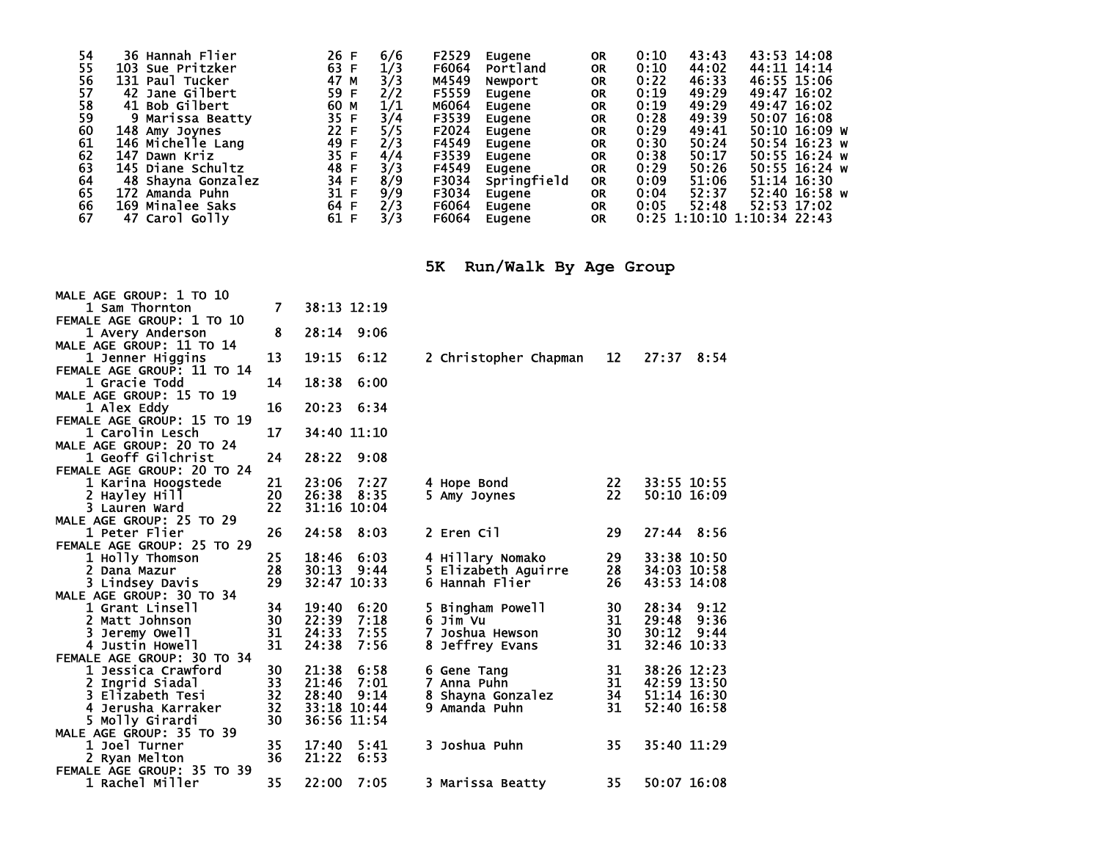| 54 | 36 Hannah Flier    | 26 F | 6/6 | F2529 | Eugene      | <b>OR</b> | 0:10 | 43:43                        | 43:53 14:08 |               |  |
|----|--------------------|------|-----|-------|-------------|-----------|------|------------------------------|-------------|---------------|--|
| 55 | 103 Sue Pritzker   | 63 F | 1/3 | F6064 | Portland    | <b>OR</b> | 0:10 | 44:02                        |             | 44:11 14:14   |  |
| 56 | 131 Paul Tucker    | 47 M | 3/3 | M4549 | Newport     | <b>OR</b> | 0:22 | 46:33                        |             | 46:55 15:06   |  |
| 57 | 42 Jane Gilbert    | 59 F | 2/2 | F5559 | Eugene      | <b>OR</b> | 0:19 | 49:29                        | 49:47 16:02 |               |  |
| 58 | 41 Bob Gilbert     | 60 M | 1/1 | M6064 | Eugene      | <b>OR</b> | 0:19 | 49:29                        |             | 49:47 16:02   |  |
| 59 | 9 Marissa Beatty   | 35 F | 3/4 | F3539 | Eugene      | <b>OR</b> | 0:28 | 49:39                        |             | 50:07 16:08   |  |
| 60 | 148 Amy Joynes     | 22 F | 5/5 | F2024 | Eugene      | <b>OR</b> | 0:29 | 49:41                        |             | 50:10 16:09 W |  |
| 61 | 146 Michelle Lang  | 49 F | 2/3 | F4549 | Eugene      | <b>OR</b> | 0:30 | 50:24                        |             | 50:54 16:23 w |  |
| 62 | 147 Dawn Kriz      | 35 F | 4/4 | F3539 | Eugene      | <b>OR</b> | 0:38 | 50:17                        |             | 50:55 16:24 w |  |
| 63 | 145 Diane Schultz  | 48 F | 3/3 | F4549 | Eugene      | <b>OR</b> | 0:29 | 50:26                        |             | 50:55 16:24 w |  |
| 64 | 48 Shayna Gonzalez | 34 F | 8/9 | F3034 | Springfield | <b>OR</b> | 0:09 | 51:06                        |             | 51:14 16:30   |  |
| 65 | 172 Amanda Puhn    | 31 F | 9/9 | F3034 | Eugene      | <b>OR</b> | 0:04 | 52:37                        |             | 52:40 16:58 w |  |
| 66 | 169 Minalee Saks   | 64 F | 2/3 | F6064 | Eugene      | <b>OR</b> | 0:05 | 52:48                        |             | 52:53 17:02   |  |
| 67 | 47 Carol Golly     | 61 F |     | F6064 | Eugene      | <b>OR</b> |      | $0:25$ 1:10:10 1:10:34 22:43 |             |               |  |
|    |                    |      |     |       |             |           |      |                              |             |               |  |

**5K Run/Walk By Age Group** 

| MALE AGE GROUP: 1 TO 10    |    |               |                       |    |                |
|----------------------------|----|---------------|-----------------------|----|----------------|
| 1 Sam Thornton             | 7  | 38:13 12:19   |                       |    |                |
| FEMALE AGE GROUP: 1 TO 10  |    |               |                       |    |                |
| 1 Avery Anderson           | 8  | 28:14 9:06    |                       |    |                |
| MALE AGE GROUP: 11 TO 14   |    |               |                       |    |                |
| 1 Jenner Higgins           | 13 | 19:15<br>6:12 | 2 Christopher Chapman | 12 | 27:37 8:54     |
| FEMALE AGE GROUP: 11 TO 14 |    |               |                       |    |                |
| 1 Gracie Todd              | 14 | 18:38<br>6:00 |                       |    |                |
| MALE AGE GROUP: 15 TO 19   |    |               |                       |    |                |
| 1 Alex Eddy                | 16 | 20:23 6:34    |                       |    |                |
| FEMALE AGE GROUP: 15 TO 19 |    |               |                       |    |                |
| 1 Carolin Lesch            | 17 | 34:40 11:10   |                       |    |                |
| MALE AGE GROUP: 20 TO 24   |    |               |                       |    |                |
| <b>1 Geoff Gilchrist</b>   | 24 | 28:22<br>9:08 |                       |    |                |
| FEMALE AGE GROUP: 20 TO 24 |    |               |                       |    |                |
| 1 Karina Hoogstede         | 21 | 23:06<br>7:27 | 4 Hope Bond           | 22 | 33:55 10:55    |
| 2 Hayley Hill              | 20 | 26:38 8:35    | 5 Amy Joynes          | 22 | 50:10 16:09    |
| 3 Lauren Ward              | 22 | 31:16 10:04   |                       |    |                |
| MALE AGE GROUP: 25 TO 29   |    |               |                       |    |                |
| 1 Peter Flier              | 26 | 24:58<br>8:03 | 2 Eren Cil            | 29 | $27:44$ 8:56   |
| FEMALE AGE GROUP: 25 TO 29 |    |               |                       |    |                |
| 1 Holly Thomson            | 25 | 18:46<br>6:03 | 4 Hillary Nomako      | 29 | 33:38 10:50    |
| 2 Dana Mazur               | 28 | 30:13<br>9:44 | 5 Elizabeth Aguirre   | 28 | 34:03 10:58    |
| 3 Lindsey Davis            | 29 | 32:47 10:33   | 6 Hannah Flier        | 26 | 43:53 14:08    |
| MALE AGE GROUP: 30 TO 34   |    |               |                       |    |                |
| 1 Grant Linsell            | 34 | 19:40<br>6:20 | 5 Bingham Powell      | 30 | 28:34<br>9:12  |
| 2 Matt Johnson             | 30 | 22:39<br>7:18 | 6 Jim Vu              | 31 | 29:48<br>9:36  |
| 3 Jeremy Owell             | 31 | 24:33<br>7:55 | Joshua Hewson         | 30 | 30:12<br>9:44  |
| 4 Justin Howell            | 31 | 24:38<br>7:56 | Jeffrey Evans         | 31 | 32:46<br>10:33 |
| FEMALE AGE GROUP: 30 TO 34 |    |               |                       |    |                |
| 1 Jessica Crawford         | 30 | 21:38<br>6:58 | 6 Gene Tang           | 31 | 38:26 12:23    |
| 2 Ingrid Siadal            | 33 | 21:46<br>7:01 | 7 Anna Puhn           | 31 | 42:59 13:50    |
| 3 Elizabeth Tesi           | 32 | 28:40<br>9:14 | 8 Shayna Gonzalez     | 34 | 51:14 16:30    |
| 4 Jerusha Karraker         | 32 | 33:18 10:44   | 9 Amanda Puhn         | 31 | 52:40 16:58    |
| 5 Molly Girardi            | 30 | 36:56 11:54   |                       |    |                |
| MALE AGE GROUP: 35 TO 39   |    |               |                       |    |                |
| 1 Joel Turner              | 35 | 17:40<br>5:41 | 3 Joshua Puhn         | 35 | 35:40 11:29    |
| 2 Ryan Melton              | 36 | 21:22<br>6:53 |                       |    |                |
| FEMALE AGE GROUP: 35 TO 39 |    |               |                       |    |                |
| 1 Rachel Miller            | 35 | 7:05<br>22:00 | 3 Marissa Beatty      | 35 | 50:07 16:08    |
|                            |    |               |                       |    |                |